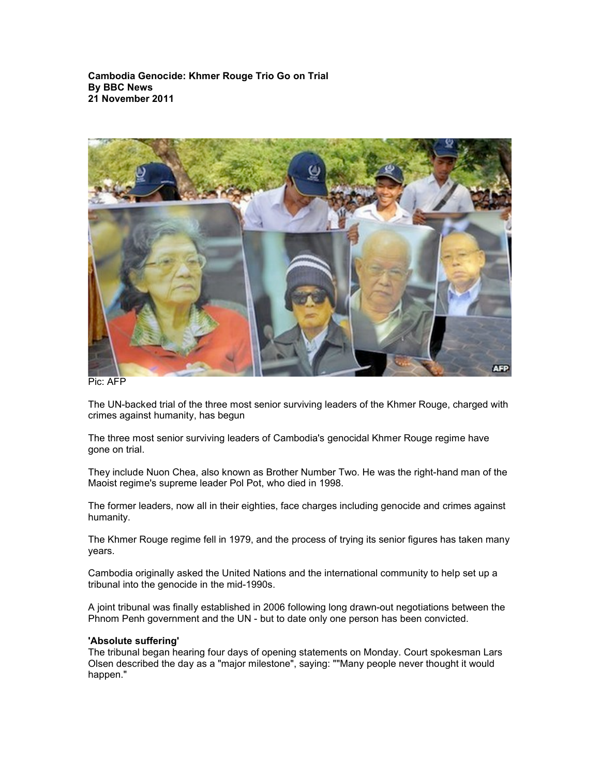**Cambodia Genocide: Khmer Rouge Trio Go on Trial By BBC News 21 November 2011**



Pic: AFP

The UN-backed trial of the three most senior surviving leaders of the Khmer Rouge, charged with crimes against humanity, has begun

The three most senior surviving leaders of Cambodia's genocidal Khmer Rouge regime have gone on trial.

They include Nuon Chea, also known as Brother Number Two. He was the right-hand man of the Maoist regime's supreme leader Pol Pot, who died in 1998.

The former leaders, now all in their eighties, face charges including genocide and crimes against humanity.

The Khmer Rouge regime fell in 1979, and the process of trying its senior figures has taken many years.

Cambodia originally asked the United Nations and the international community to help set up a tribunal into the genocide in the mid-1990s.

A joint tribunal was finally established in 2006 following long drawn-out negotiations between the Phnom Penh government and the UN - but to date only one person has been convicted.

## **'Absolute suffering'**

The tribunal began hearing four days of opening statements on Monday. Court spokesman Lars Olsen described the day as a "major milestone", saying: ""Many people never thought it would happen."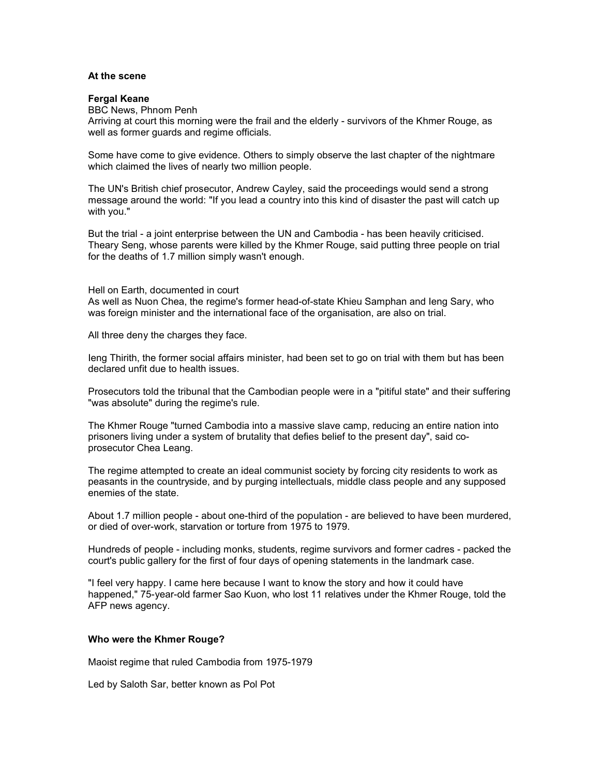## **At the scene**

## **Fergal Keane**

BBC News, Phnom Penh

Arriving at court this morning were the frail and the elderly - survivors of the Khmer Rouge, as well as former guards and regime officials.

Some have come to give evidence. Others to simply observe the last chapter of the nightmare which claimed the lives of nearly two million people.

The UN's British chief prosecutor, Andrew Cayley, said the proceedings would send a strong message around the world: "If you lead a country into this kind of disaster the past will catch up with you."

But the trial - a joint enterprise between the UN and Cambodia - has been heavily criticised. Theary Seng, whose parents were killed by the Khmer Rouge, said putting three people on trial for the deaths of 1.7 million simply wasn't enough.

Hell on Earth, documented in court

As well as Nuon Chea, the regime's former head-of-state Khieu Samphan and Ieng Sary, who was foreign minister and the international face of the organisation, are also on trial.

All three deny the charges they face.

Ieng Thirith, the former social affairs minister, had been set to go on trial with them but has been declared unfit due to health issues.

Prosecutors told the tribunal that the Cambodian people were in a "pitiful state" and their suffering "was absolute" during the regime's rule.

The Khmer Rouge "turned Cambodia into a massive slave camp, reducing an entire nation into prisoners living under a system of brutality that defies belief to the present day", said coprosecutor Chea Leang.

The regime attempted to create an ideal communist society by forcing city residents to work as peasants in the countryside, and by purging intellectuals, middle class people and any supposed enemies of the state.

About 1.7 million people - about one-third of the population - are believed to have been murdered, or died of over-work, starvation or torture from 1975 to 1979.

Hundreds of people - including monks, students, regime survivors and former cadres - packed the court's public gallery for the first of four days of opening statements in the landmark case.

"I feel very happy. I came here because I want to know the story and how it could have happened," 75-year-old farmer Sao Kuon, who lost 11 relatives under the Khmer Rouge, told the AFP news agency.

## **Who were the Khmer Rouge?**

Maoist regime that ruled Cambodia from 1975-1979

Led by Saloth Sar, better known as Pol Pot